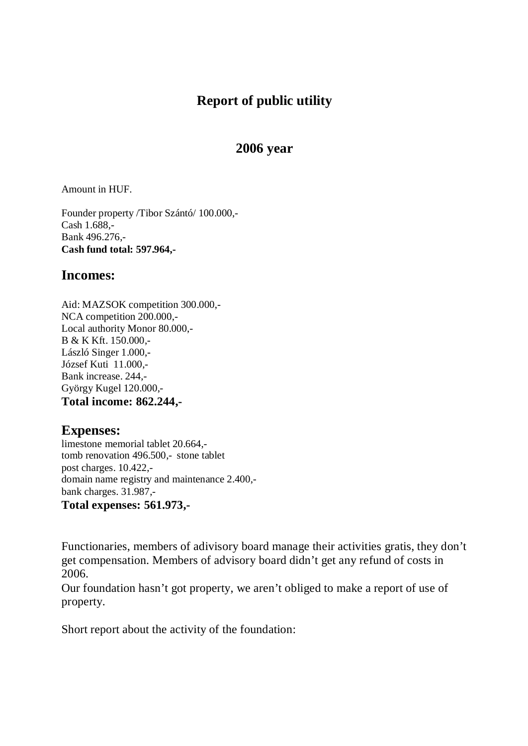## **Report of public utility**

## **2006 year**

Amount in HUF.

Founder property /Tibor Szántó/ 100.000,- Cash 1.688,- Bank 496.276,- **Cash fund total: 597.964,-** 

## **Incomes:**

Aid: MAZSOK competition 300.000,- NCA competition 200.000,- Local authority Monor 80.000,- B & K Kft. 150.000,- László Singer 1.000,- József Kuti 11.000,- Bank increase. 244,- György Kugel 120.000,- **Total income: 862.244,-** 

## **Expenses:**

limestone memorial tablet 20.664, tomb renovation 496.500,- stone tablet post charges. 10.422, domain name registry and maintenance 2.400, bank charges. 31.987,- **Total expenses: 561.973,-** 

Functionaries, members of adivisory board manage their activities gratis, they don't get compensation. Members of advisory board didn't get any refund of costs in 2006.

Our foundation hasn't got property, we aren't obliged to make a report of use of property.

Short report about the activity of the foundation: